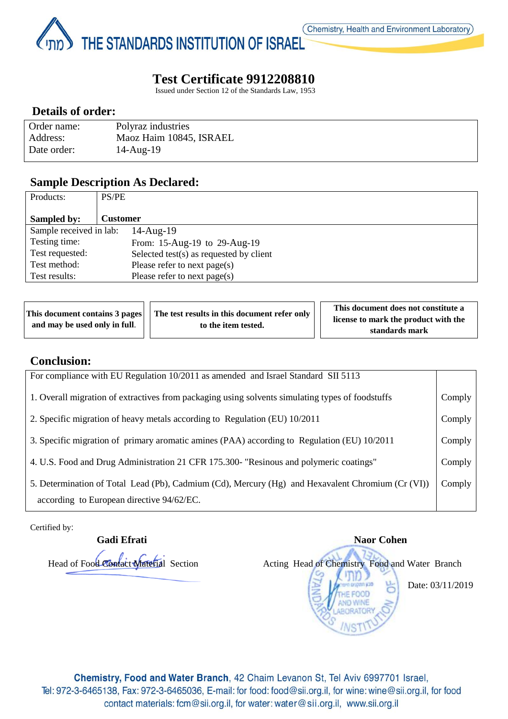Page **1** of **3** THE STANDARDS INSTITUTION OF ISRAEL

# **Test Certificate 9912208810**

Issued under Section 12 of the Standards Law, 1953

## **Details of order:**

| Order name: | Polyraz industries      |
|-------------|-------------------------|
| Address:    | Maoz Haim 10845, ISRAEL |
| Date order: | 14-Aug-19               |

## **Sample Description As Declared:**

| Products:               | PS/PE                                   |
|-------------------------|-----------------------------------------|
|                         |                                         |
| <b>Sampled by:</b>      | Customer                                |
| Sample received in lab: | $14$ -Aug- $19$                         |
| Testing time:           | From: 15-Aug-19 to 29-Aug-19            |
| Test requested:         | Selected test(s) as requested by client |
| Test method:            | Please refer to next page(s)            |
| Test results:           | Please refer to next page( $s$ )        |

|                                             | This document contains 3 pages The test results in this document refer only<br>to the item tested. | This document does not constitute a  |
|---------------------------------------------|----------------------------------------------------------------------------------------------------|--------------------------------------|
| and may be used only in full. $\vert \vert$ |                                                                                                    | license to mark the product with the |
|                                             |                                                                                                    | standards mark                       |

#### **Conclusion:**

| For compliance with EU Regulation 10/2011 as amended and Israel Standard SII 5113                 |        |
|---------------------------------------------------------------------------------------------------|--------|
| 1. Overall migration of extractives from packaging using solvents simulating types of foodstuffs  | Comply |
| 2. Specific migration of heavy metals according to Regulation (EU) 10/2011                        | Comply |
| 3. Specific migration of primary aromatic amines (PAA) according to Regulation (EU) 10/2011       | Comply |
| 4. U.S. Food and Drug Administration 21 CFR 175.300- "Resinous and polymeric coatings"            | Comply |
| 5. Determination of Total Lead (Pb), Cadmium (Cd), Mercury (Hg) and Hexavalent Chromium (Cr (VI)) | Comply |
| according to European directive 94/62/EC.                                                         |        |

Certified by:



Chemistry, Food and Water Branch, 42 Chaim Levanon St, Tel Aviv 6997701 Israel, Tel: 972-3-6465138, Fax: 972-3-6465036, E-mail: for food: food@sii.org.il, for wine: wine@sii.org.il, for food contact materials: fcm@sii.org.il, for water: water@sii.org.il, www.sii.org.il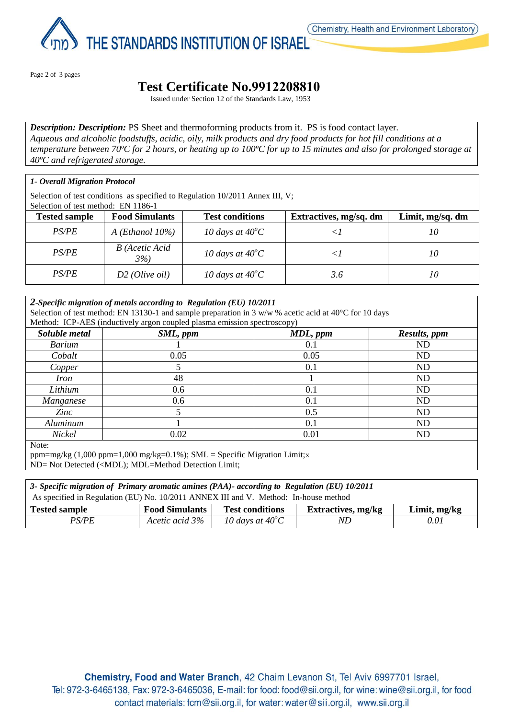

THE STANDARDS INSTITUTION OF ISRAEL

Page 2 of 3 pages

Page **2** of **3**

# **Test Certificate No.9912208810**

Issued under Section 12 of the Standards Law, 1953

*Description: Description:* PS Sheet and thermoforming products from it. PS is food contact layer. *Aqueous and alcoholic foodstuffs, acidic, oily, milk products and dry food products for hot fill conditions at a temperature between 70ºC for 2 hours, or heating up to 100ºC for up to 15 minutes and also for prolonged storage at 40ºC and refrigerated storage.*

#### *1- Overall Migration Protocol*

Selection of test conditions as specified to Regulation 10/2011 Annex III, V; Selection of test method: EN 1186-1

| ыскопон от коятносном. Его тто т |                       |                           |                        |                  |
|----------------------------------|-----------------------|---------------------------|------------------------|------------------|
| <b>Tested sample</b>             | <b>Food Simulants</b> | <b>Test conditions</b>    | Extractives, mg/sq. dm | Limit, mg/sq. dm |
| <i>PS/PE</i>                     | A (Ethanol $10\%$ )   | 10 days at $40^{\circ}$ C |                        | 10               |
| PS/PE                            | B (Acetic Acid<br>3%  | 10 days at $40^{\circ}$ C |                        | 10               |
| <i>PS/PE</i>                     | $D2$ (Olive oil)      | 10 days at $40^{\circ}$ C | 3.6                    | 10 <sup>2</sup>  |

# *2-Specific migration of metals according to Regulation (EU) 10/2011*

Selection of test method: EN 13130-1 and sample preparation in 3 w/w % acetic acid at 40°C for 10 days Method: ICP-AES (inductively argon coupled plasma emission spectroscopy)

| Soluble metal    | SML, ppm | MDL, ppm | Results, ppm |  |  |
|------------------|----------|----------|--------------|--|--|
| <b>Barium</b>    |          | 0.1      | ND           |  |  |
| Cobalt           | 0.05     | 0.05     | ND           |  |  |
| Copper           |          | 0.1      | ND           |  |  |
| <i>Iron</i>      | 48       |          | ND           |  |  |
| Lithium          | 0.6      | 0.1      | ND           |  |  |
| Manganese        | 0.6      | 0.1      | ND           |  |  |
| Zinc             |          | 0.5      | ND           |  |  |
| Aluminum         |          | 0.1      | ND           |  |  |
| Nickel           | 0.02     | 0.01     | ND           |  |  |
| $N_{\alpha}$ to. |          |          |              |  |  |

Note:

ppm=mg/kg  $(1,000 \text{ ppm}=1,000 \text{ mg/kg}=0.1\%)$ ; SML = Specific Migration Limit;x ND= Not Detected (<MDL); MDL=Method Detection Limit;

| 3- Specific migration of Primary aromatic amines (PAA)- according to Regulation (EU) 10/2011                         |                |                           |     |      |
|----------------------------------------------------------------------------------------------------------------------|----------------|---------------------------|-----|------|
| As specified in Regulation (EU) No. 10/2011 ANNEX III and V. Method: In-house method                                 |                |                           |     |      |
| <b>Food Simulants</b><br><b>Test conditions</b><br>Limit, mg/kg<br><b>Extractives, mg/kg</b><br><b>Tested sample</b> |                |                           |     |      |
| <i>PS/PE</i>                                                                                                         | Acetic acid 3% | 10 days at $40^{\circ}$ C | ND. | 0.01 |